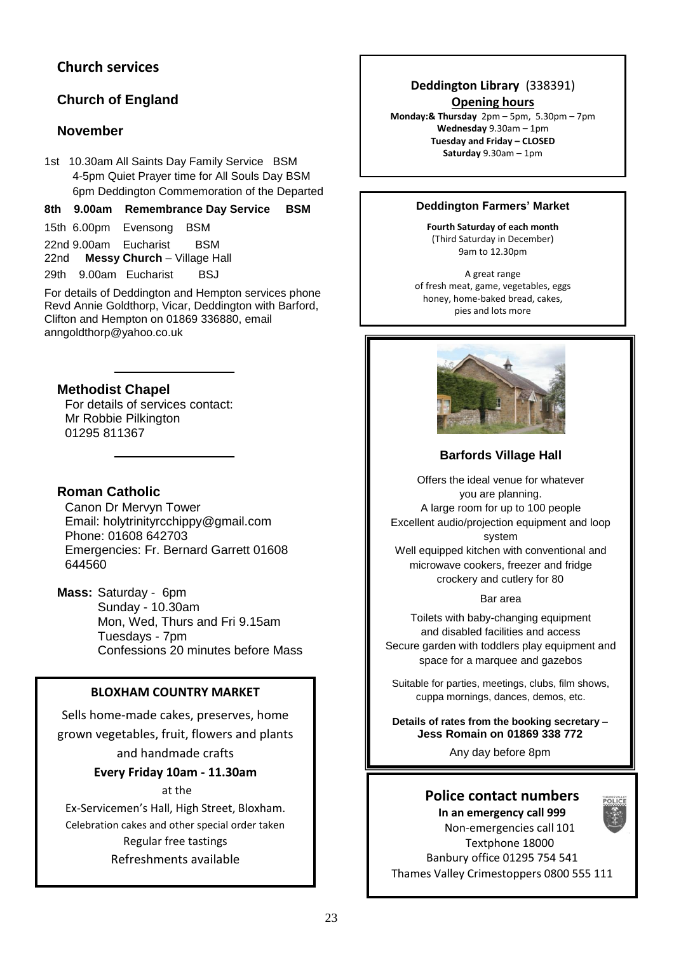# **Church services**

# **Church of England**

## **November**

1st 10.30am All Saints Day Family Service BSM 4-5pm Quiet Prayer time for All Souls Day BSM 6pm Deddington Commemoration of the Departed

### **8th 9.00am Remembrance Day Service BSM**

- 15th 6.00pm Evensong BSM
- 22nd 9.00am Eucharist BSM 22nd **Messy Church** – Village Hall
- 29th 9.00am Eucharist BSJ

For details of Deddington and Hempton services phone Revd Annie Goldthorp, Vicar, Deddington with Barford, Clifton and Hempton on 01869 336880, email anngoldthorp@yahoo.co.uk

## **Methodist Chapel**

For details of services contact: Mr Robbie Pilkington 01295 811367

## **Roman Catholic**

Canon Dr Mervyn Tower Email: holytrinityrcchippy@gmail.com Phone: 01608 642703 Emergencies: Fr. Bernard Garrett 01608 644560

**Mass:** Saturday - 6pm Sunday - 10.30am Mon, Wed, Thurs and Fri 9.15am Tuesdays - 7pm Confessions 20 minutes before Mass

## **BLOXHAM COUNTRY MARKET**

Sells home-made cakes, preserves, home grown vegetables, fruit, flowers and plants

and handmade crafts

**Every Friday 10am - 11.30am**

### at the

Ex-Servicemen's Hall, High Street, Bloxham. Celebration cakes and other special order taken Regular free tastings Refreshments available

## **Deddington Library** (338391) **Opening hours**

**Monday:& Thursday** 2pm – 5pm, 5.30pm – 7pm **Wednesday** 9.30am – 1pm **Tuesday and Friday – CLOSED Saturday** 9.30am – 1pm

### **Deddington Farmers' Market**

**Fourth Saturday of each month** (Third Saturday in December) 9am to 12.30pm

A great range of fresh meat, game, vegetables, eggs honey, home-baked bread, cakes, pies and lots more



## **Barfords Village Hall**

Offers the ideal venue for whatever you are planning. A large room for up to 100 people Excellent audio/projection equipment and loop system Well equipped kitchen with conventional and

microwave cookers, freezer and fridge crockery and cutlery for 80

#### Bar area

Toilets with baby-changing equipment and disabled facilities and access Secure garden with toddlers play equipment and space for a marquee and gazebos

Suitable for parties, meetings, clubs, film shows, cuppa mornings, dances, demos, etc.

**Details of rates from the booking secretary – Jess Romain on 01869 338 772**

Any day before 8pm

## **Police contact numbers**

**In an emergency call 999** Non-emergencies call 101 Textphone 18000 Banbury office 01295 754 541 Thames Valley Crimestoppers 0800 555 111